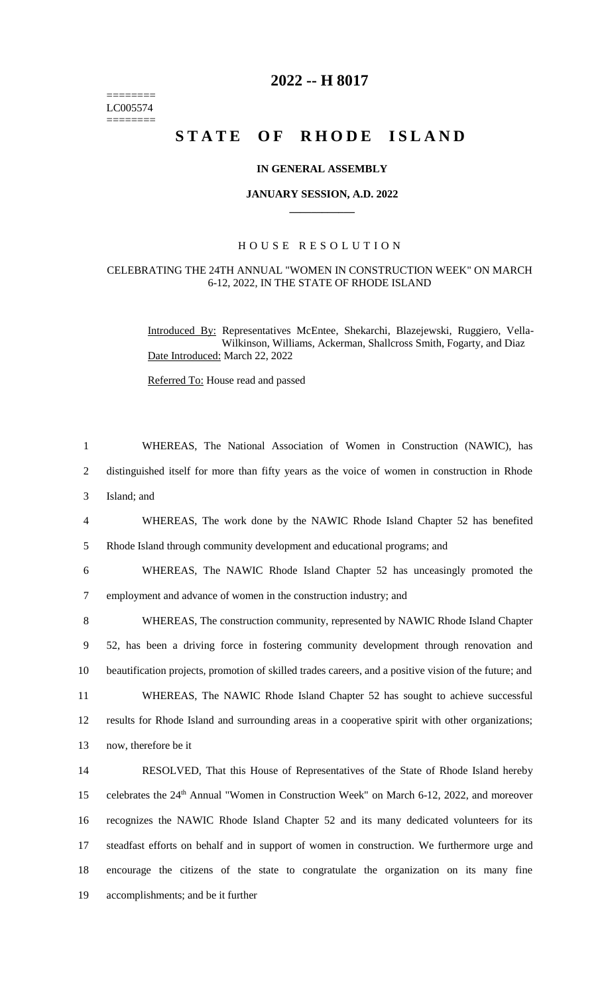======== LC005574 ========

# **2022 -- H 8017**

# **STATE OF RHODE ISLAND**

## **IN GENERAL ASSEMBLY**

#### **JANUARY SESSION, A.D. 2022 \_\_\_\_\_\_\_\_\_\_\_\_**

# H O U S E R E S O L U T I O N

## CELEBRATING THE 24TH ANNUAL "WOMEN IN CONSTRUCTION WEEK" ON MARCH 6-12, 2022, IN THE STATE OF RHODE ISLAND

Introduced By: Representatives McEntee, Shekarchi, Blazejewski, Ruggiero, Vella-Wilkinson, Williams, Ackerman, Shallcross Smith, Fogarty, and Diaz Date Introduced: March 22, 2022

Referred To: House read and passed

 WHEREAS, The National Association of Women in Construction (NAWIC), has distinguished itself for more than fifty years as the voice of women in construction in Rhode Island; and WHEREAS, The work done by the NAWIC Rhode Island Chapter 52 has benefited Rhode Island through community development and educational programs; and WHEREAS, The NAWIC Rhode Island Chapter 52 has unceasingly promoted the employment and advance of women in the construction industry; and WHEREAS, The construction community, represented by NAWIC Rhode Island Chapter 52, has been a driving force in fostering community development through renovation and beautification projects, promotion of skilled trades careers, and a positive vision of the future; and WHEREAS, The NAWIC Rhode Island Chapter 52 has sought to achieve successful results for Rhode Island and surrounding areas in a cooperative spirit with other organizations; now, therefore be it RESOLVED, That this House of Representatives of the State of Rhode Island hereby 15 celebrates the 24<sup>th</sup> Annual "Women in Construction Week" on March 6-12, 2022, and moreover recognizes the NAWIC Rhode Island Chapter 52 and its many dedicated volunteers for its steadfast efforts on behalf and in support of women in construction. We furthermore urge and encourage the citizens of the state to congratulate the organization on its many fine accomplishments; and be it further